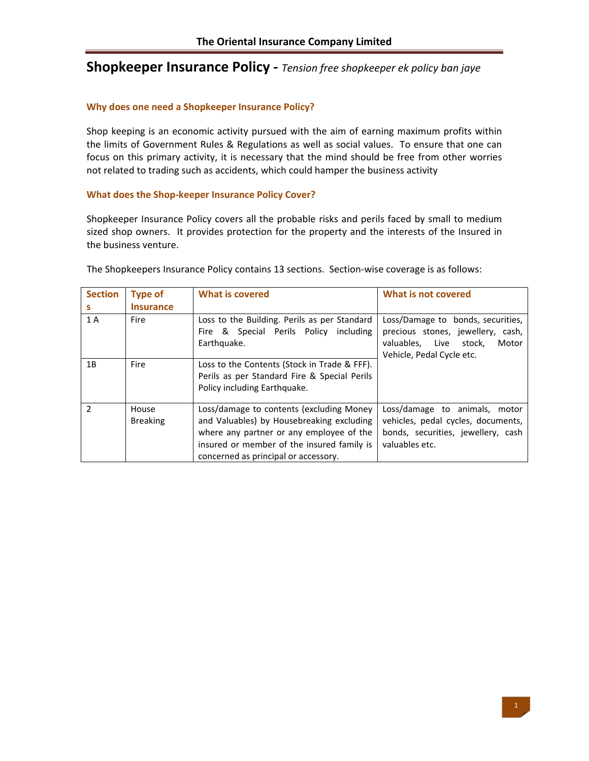# **Shopkeeper Insurance Policy ‐** *Tension free shopkeeper ek policy ban jaye*

#### **Why does one need a Shopkeeper Insurance Policy?**

Shop keeping is an economic activity pursued with the aim of earning maximum profits within the limits of Government Rules & Regulations as well as social values. To ensure that one can focus on this primary activity, it is necessary that the mind should be free from other worries not related to trading such as accidents, which could hamper the business activity

#### **What does the Shop‐keeper Insurance Policy Cover?**

Shopkeeper Insurance Policy covers all the probable risks and perils faced by small to medium sized shop owners. It provides protection for the property and the interests of the Insured in the business venture.

| <b>Section</b><br>s | <b>Type of</b><br><b>Insurance</b> | <b>What is covered</b>                                                                                                                                                                                                  | What is not covered                                                                                                                    |  |
|---------------------|------------------------------------|-------------------------------------------------------------------------------------------------------------------------------------------------------------------------------------------------------------------------|----------------------------------------------------------------------------------------------------------------------------------------|--|
| 1 A                 | <b>Fire</b>                        | Loss to the Building. Perils as per Standard<br>Fire & Special Perils Policy including<br>Earthquake.                                                                                                                   | Loss/Damage to bonds, securities,<br>precious stones, jewellery, cash,<br>valuables, Live stock,<br>Motor<br>Vehicle, Pedal Cycle etc. |  |
| 1B                  | <b>Fire</b>                        | Loss to the Contents (Stock in Trade & FFF).<br>Perils as per Standard Fire & Special Perils<br>Policy including Earthquake.                                                                                            |                                                                                                                                        |  |
| $\mathcal{P}$       | House<br><b>Breaking</b>           | Loss/damage to contents (excluding Money<br>and Valuables) by Housebreaking excluding<br>where any partner or any employee of the<br>insured or member of the insured family is<br>concerned as principal or accessory. | Loss/damage to animals,<br>motor<br>vehicles, pedal cycles, documents,<br>bonds, securities, jewellery, cash<br>valuables etc.         |  |

The Shopkeepers Insurance Policy contains 13 sections. Section-wise coverage is as follows: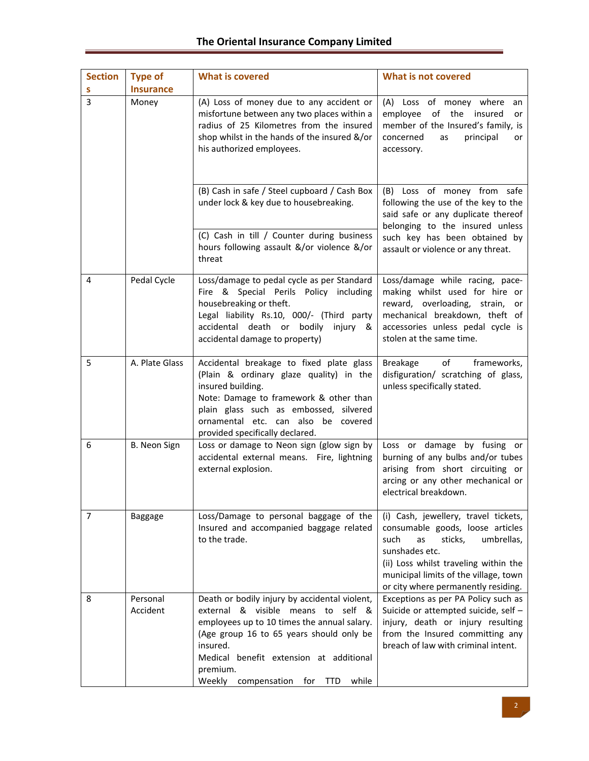| <b>Section</b> | <b>Type of</b>       | <b>What is covered</b><br><b>What is not covered</b>                                                                                                                                                                                                                                                      |                                                                                                                                                                                                                                                            |  |
|----------------|----------------------|-----------------------------------------------------------------------------------------------------------------------------------------------------------------------------------------------------------------------------------------------------------------------------------------------------------|------------------------------------------------------------------------------------------------------------------------------------------------------------------------------------------------------------------------------------------------------------|--|
| s              | <b>Insurance</b>     |                                                                                                                                                                                                                                                                                                           |                                                                                                                                                                                                                                                            |  |
| 3              | Money                | (A) Loss of money due to any accident or<br>misfortune between any two places within a<br>radius of 25 Kilometres from the insured<br>shop whilst in the hands of the insured &/or<br>his authorized employees.                                                                                           | (A) Loss of money where<br>an<br>of the insured<br>employee<br>or<br>member of the Insured's family, is<br>concerned<br>principal<br>as<br>or<br>accessory.                                                                                                |  |
|                |                      | (B) Cash in safe / Steel cupboard / Cash Box<br>under lock & key due to housebreaking.<br>(C) Cash in till / Counter during business                                                                                                                                                                      | (B) Loss of money from safe<br>following the use of the key to the<br>said safe or any duplicate thereof<br>belonging to the insured unless                                                                                                                |  |
|                |                      | hours following assault &/or violence &/or<br>threat                                                                                                                                                                                                                                                      | such key has been obtained by<br>assault or violence or any threat.                                                                                                                                                                                        |  |
| 4              | Pedal Cycle          | Loss/damage to pedal cycle as per Standard<br>Fire & Special Perils Policy including<br>housebreaking or theft.<br>Legal liability Rs.10, 000/- (Third party<br>accidental death or bodily<br>injury &<br>accidental damage to property)                                                                  | Loss/damage while racing, pace-<br>making whilst used for hire or<br>reward, overloading, strain,<br>or<br>mechanical breakdown, theft of<br>accessories unless pedal cycle is<br>stolen at the same time.                                                 |  |
| 5              | A. Plate Glass       | Accidental breakage to fixed plate glass<br>(Plain & ordinary glaze quality) in the<br>insured building.<br>Note: Damage to framework & other than<br>plain glass such as embossed, silvered<br>ornamental etc. can also be covered<br>provided specifically declared.                                    | of<br><b>Breakage</b><br>frameworks,<br>disfiguration/ scratching of glass,<br>unless specifically stated.                                                                                                                                                 |  |
| 6              | B. Neon Sign         | Loss or damage to Neon sign (glow sign by<br>accidental external means. Fire, lightning<br>external explosion.                                                                                                                                                                                            | Loss or damage by fusing or<br>burning of any bulbs and/or tubes<br>arising from short circuiting or<br>arcing or any other mechanical or<br>electrical breakdown.                                                                                         |  |
| 7              | Baggage              | Loss/Damage to personal baggage of the<br>Insured and accompanied baggage related<br>to the trade.                                                                                                                                                                                                        | (i) Cash, jewellery, travel tickets,<br>consumable goods, loose articles<br>sticks,<br>umbrellas,<br>such<br>as<br>sunshades etc.<br>(ii) Loss whilst traveling within the<br>municipal limits of the village, town<br>or city where permanently residing. |  |
| 8              | Personal<br>Accident | Death or bodily injury by accidental violent,<br>external & visible means to self &<br>employees up to 10 times the annual salary.<br>(Age group 16 to 65 years should only be<br>insured.<br>Medical benefit extension at additional<br>premium.<br>Weekly<br>while<br>compensation<br>for<br><b>TTD</b> | Exceptions as per PA Policy such as<br>Suicide or attempted suicide, self -<br>injury, death or injury resulting<br>from the Insured committing any<br>breach of law with criminal intent.                                                                 |  |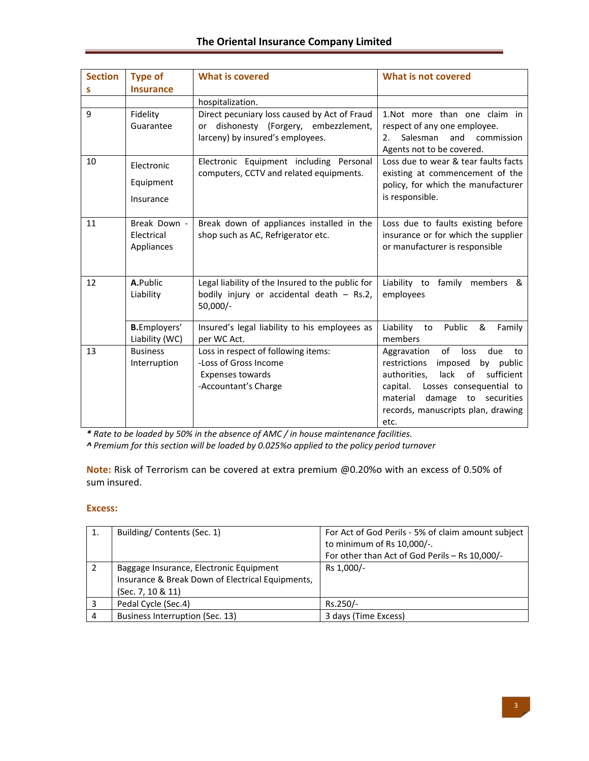| <b>Section</b><br>s | <b>Type of</b><br><b>Insurance</b>       | <b>What is covered</b>                                                                                                       | <b>What is not covered</b>                                                                                                                                                                                                                          |
|---------------------|------------------------------------------|------------------------------------------------------------------------------------------------------------------------------|-----------------------------------------------------------------------------------------------------------------------------------------------------------------------------------------------------------------------------------------------------|
|                     |                                          | hospitalization.                                                                                                             |                                                                                                                                                                                                                                                     |
| 9                   | Fidelity<br>Guarantee                    | Direct pecuniary loss caused by Act of Fraud<br>dishonesty (Forgery, embezzlement,<br>or<br>larceny) by insured's employees. | 1.Not more than one claim in<br>respect of any one employee.<br>Salesman<br>and<br>commission<br>2.<br>Agents not to be covered.                                                                                                                    |
| 10                  | Electronic<br>Equipment<br>Insurance     | Electronic Equipment including Personal<br>computers, CCTV and related equipments.                                           | Loss due to wear & tear faults facts<br>existing at commencement of the<br>policy, for which the manufacturer<br>is responsible.                                                                                                                    |
| 11                  | Break Down -<br>Electrical<br>Appliances | Break down of appliances installed in the<br>shop such as AC, Refrigerator etc.                                              | Loss due to faults existing before<br>insurance or for which the supplier<br>or manufacturer is responsible                                                                                                                                         |
| 12                  | A.Public<br>Liability                    | Legal liability of the Insured to the public for<br>bodily injury or accidental death - Rs.2,<br>$50,000/-$                  | Liability to family members &<br>employees                                                                                                                                                                                                          |
|                     | <b>B.</b> Employers'<br>Liability (WC)   | Insured's legal liability to his employees as<br>per WC Act.                                                                 | Liability<br>Public<br>Family<br>&<br>to<br>members                                                                                                                                                                                                 |
| 13                  | <b>Business</b><br>Interruption          | Loss in respect of following items:<br>-Loss of Gross Income<br>Expenses towards<br>-Accountant's Charge                     | of<br>loss<br>due<br>Aggravation<br>to<br>restrictions<br>imposed<br>by public<br>of<br>lack<br>sufficient<br>authorities,<br>capital.<br>Losses consequential to<br>material<br>damage to securities<br>records, manuscripts plan, drawing<br>etc. |

*\* Rate to be loaded by 50% in the absence of AMC / in house maintenance facilities.*

*^ Premium for this section will be loaded by 0.025%o applied to the policy period turnover*

**Note:** Risk of Terrorism can be covered at extra premium @0.20%o with an excess of 0.50% of sum insured.

## **Excess:**

| 1. | Building/Contents (Sec. 1)                       | For Act of God Perils - 5% of claim amount subject |
|----|--------------------------------------------------|----------------------------------------------------|
|    |                                                  | to minimum of Rs 10,000/-.                         |
|    |                                                  | For other than Act of God Perils - Rs 10,000/-     |
|    | Baggage Insurance, Electronic Equipment          | Rs 1,000/-                                         |
|    | Insurance & Break Down of Electrical Equipments, |                                                    |
|    | (Sec. 7, 10 & 11)                                |                                                    |
|    | Pedal Cycle (Sec.4)                              | Rs.250/-                                           |
|    | Business Interruption (Sec. 13)                  | 3 days (Time Excess)                               |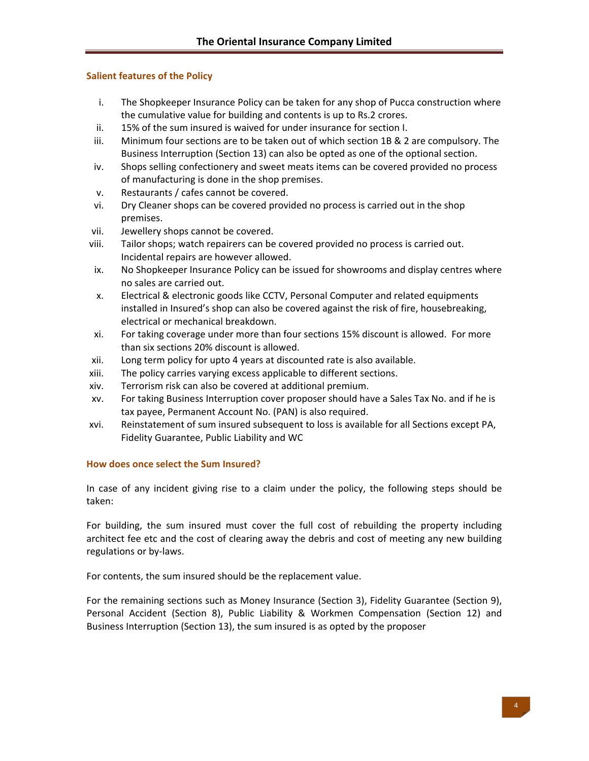## **Salient features of the Policy**

- i. The Shopkeeper Insurance Policy can be taken for any shop of Pucca construction where the cumulative value for building and contents is up to Rs.2 crores.
- ii. 15% of the sum insured is waived for under insurance for section I.
- iii. Minimum four sections are to be taken out of which section 1B & 2 are compulsory. The Business Interruption (Section 13) can also be opted as one of the optional section.
- iv. Shops selling confectionery and sweet meats items can be covered provided no process of manufacturing is done in the shop premises.
- v. Restaurants / cafes cannot be covered.
- vi. Dry Cleaner shops can be covered provided no process is carried out in the shop premises.
- vii. Jewellery shops cannot be covered.
- viii. Tailor shops; watch repairers can be covered provided no process is carried out. Incidental repairs are however allowed.
- ix. No Shopkeeper Insurance Policy can be issued for showrooms and display centres where no sales are carried out.
- x. Electrical & electronic goods like CCTV, Personal Computer and related equipments installed in Insured's shop can also be covered against the risk of fire, housebreaking, electrical or mechanical breakdown.
- xi. For taking coverage under more than four sections 15% discount is allowed. For more than six sections 20% discount is allowed.
- xii. Long term policy for upto 4 years at discounted rate is also available.
- xiii. The policy carries varying excess applicable to different sections.
- xiv. Terrorism risk can also be covered at additional premium.
- xv. For taking Business Interruption cover proposer should have a Sales Tax No. and if he is tax payee, Permanent Account No. (PAN) is also required.
- xvi. Reinstatement of sum insured subsequent to loss is available for all Sections except PA, Fidelity Guarantee, Public Liability and WC

## **How does once select the Sum Insured?**

In case of any incident giving rise to a claim under the policy, the following steps should be taken:

For building, the sum insured must cover the full cost of rebuilding the property including architect fee etc and the cost of clearing away the debris and cost of meeting any new building regulations or by‐laws.

For contents, the sum insured should be the replacement value.

For the remaining sections such as Money Insurance (Section 3), Fidelity Guarantee (Section 9), Personal Accident (Section 8), Public Liability & Workmen Compensation (Section 12) and Business Interruption (Section 13), the sum insured is as opted by the proposer